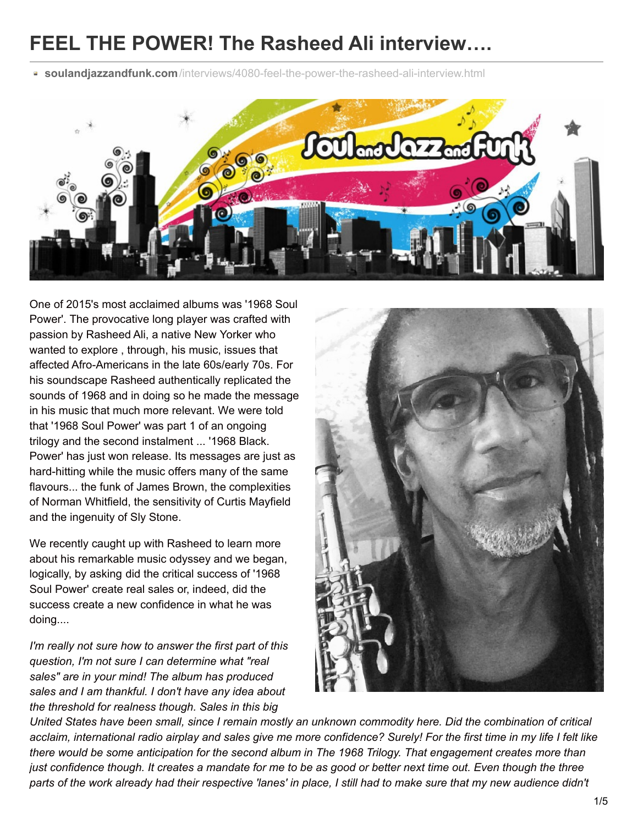# **FEEL THE POWER! The Rasheed Ali interview….**

**soulandjazzandfunk.com**[/interviews/4080-feel-the-power-the-rasheed-ali-interview.html](http://www.soulandjazzandfunk.com/interviews/4080-feel-the-power-the-rasheed-ali-interview.html)



One of 2015's most acclaimed albums was '1968 Soul Power'. The provocative long player was crafted with passion by Rasheed Ali, a native New Yorker who wanted to explore , through, his music, issues that affected Afro-Americans in the late 60s/early 70s. For his soundscape Rasheed authentically replicated the sounds of 1968 and in doing so he made the message in his music that much more relevant. We were told that '1968 Soul Power' was part 1 of an ongoing trilogy and the second instalment ... '1968 Black. Power' has just won release. Its messages are just as hard-hitting while the music offers many of the same flavours... the funk of James Brown, the complexities of Norman Whitfield, the sensitivity of Curtis Mayfield and the ingenuity of Sly Stone.

We recently caught up with Rasheed to learn more about his remarkable music odyssey and we began, logically, by asking did the critical success of '1968 Soul Power' create real sales or, indeed, did the success create a new confidence in what he was doing....

*I'm really not sure how to answer the first part of this question, I'm not sure I can determine what "real sales" are in your mind! The album has produced sales and I am thankful. I don't have any idea about the threshold for realness though. Sales in this big*



United States have been small, since I remain mostly an unknown commodity here. Did the combination of critical acclaim, international radio airplay and sales give me more confidence? Surely! For the first time in my life I felt like there would be some anticipation for the second album in The 1968 Trilogy. That engagement creates more than just confidence though. It creates a mandate for me to be as good or better next time out. Even though the three parts of the work already had their respective 'lanes' in place, I still had to make sure that my new audience didn't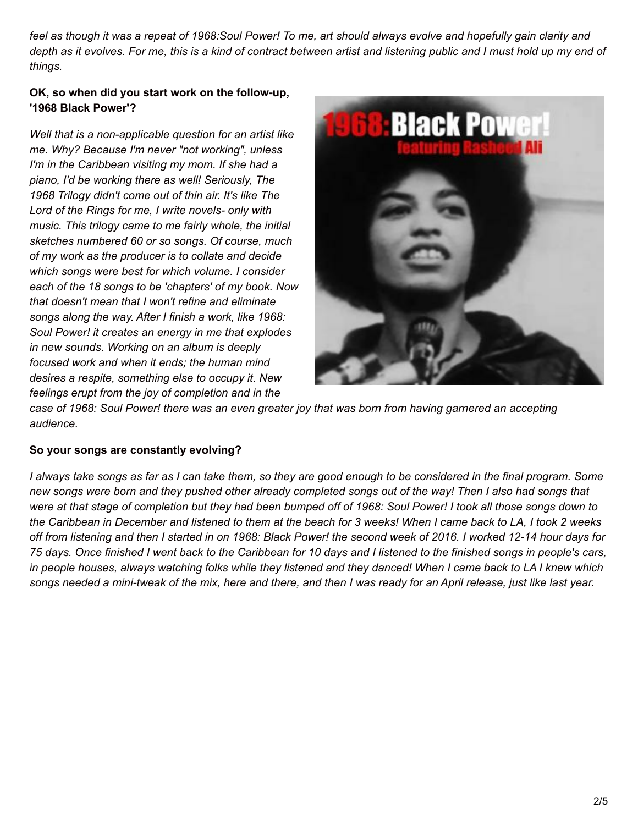feel as though it was a repeat of 1968:Soul Power! To me, art should always evolve and hopefully gain clarity and depth as it evolves. For me, this is a kind of contract between artist and listening public and I must hold up my end of *things.*

#### **OK, so when did you start work on the follow-up, '1968 Black Power'?**

*Well that is a non-applicable question for an artist like me. Why? Because I'm never "not working", unless I'm in the Caribbean visiting my mom. If she had a piano, I'd be working there as well! Seriously, The 1968 Trilogy didn't come out of thin air. It's like The Lord of the Rings for me, I write novels- only with music. This trilogy came to me fairly whole, the initial sketches numbered 60 or so songs. Of course, much of my work as the producer is to collate and decide which songs were best for which volume. I consider each of the 18 songs to be 'chapters' of my book. Now that doesn't mean that I won't refine and eliminate songs along the way. After I finish a work, like 1968: Soul Power! it creates an energy in me that explodes in new sounds. Working on an album is deeply focused work and when it ends; the human mind desires a respite, something else to occupy it. New feelings erupt from the joy of completion and in the*



case of 1968: Soul Power! there was an even greater joy that was born from having garnered an accepting *audience.*

## **So your songs are constantly evolving?**

I always take songs as far as I can take them, so they are good enough to be considered in the final program. Some new songs were born and they pushed other already completed songs out of the way! Then I also had songs that were at that stage of completion but they had been bumped off of 1968: Soul Power! I took all those songs down to the Caribbean in December and listened to them at the beach for 3 weeks! When I came back to LA, I took 2 weeks off from listening and then I started in on 1968: Black Power! the second week of 2016. I worked 12-14 hour days for 75 days. Once finished I went back to the Caribbean for 10 days and I listened to the finished songs in people's cars, in people houses, always watching folks while they listened and they danced! When I came back to LA I knew which songs needed a mini-tweak of the mix, here and there, and then I was ready for an April release, just like last year.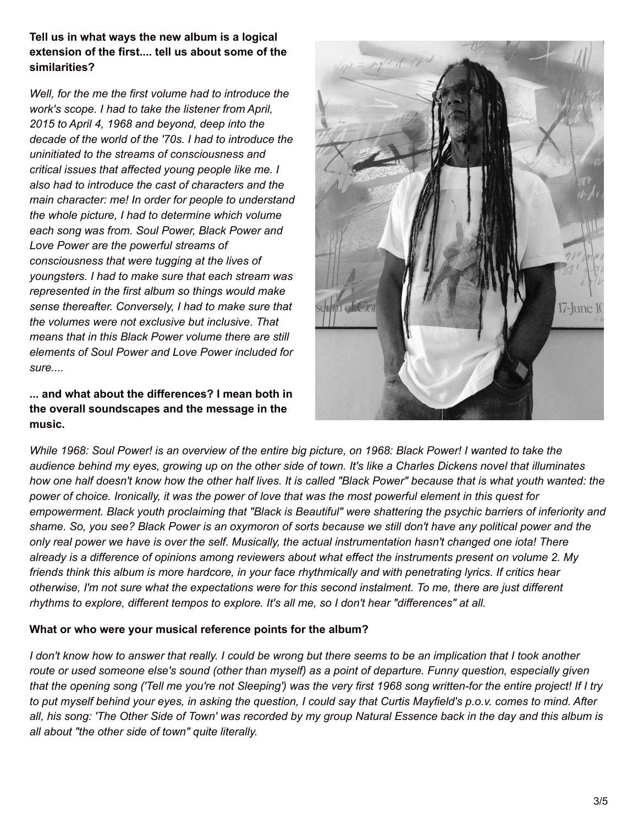**Tell us in what ways the new album is a logical extension of the first.... tell us about some of the similarities?**

*Well, for the me the first volume had to introduce the work's scope. I had to take the listener from April, 2015 to April 4, 1968 and beyond, deep into the decade of the world of the '70s. I had to introduce the uninitiated to the streams of consciousness and critical issues that affected young people like me. I also had to introduce the cast of characters and the main character: me! In order for people to understand the whole picture, I had to determine which volume each song was from. Soul Power, Black Power and Love Power are the powerful streams of consciousness that were tugging at the lives of youngsters. I had to make sure that each stream was represented in the first album so things would make sense thereafter. Conversely, I had to make sure that the volumes were not exclusive but inclusive. That means that in this Black Power volume there are still elements of Soul Power and Love Power included for sure....*

**... and what about the differences? I mean both in the overall soundscapes and the message in the music.**



While 1968: Soul Power! is an overview of the entire big picture, on 1968: Black Power! I wanted to take the audience behind my eyes, growing up on the other side of town. It's like a Charles Dickens novel that illuminates how one half doesn't know how the other half lives. It is called "Black Power" because that is what youth wanted: the power of choice. Ironically, it was the power of love that was the most powerful element in this quest for empowerment. Black youth proclaiming that "Black is Beautiful" were shattering the psychic barriers of inferiority and shame. So, you see? Black Power is an oxymoron of sorts because we still don't have any political power and the only real power we have is over the self. Musically, the actual instrumentation hasn't changed one iota! There already is a difference of opinions among reviewers about what effect the instruments present on volume 2. My friends think this album is more hardcore, in your face rhythmically and with penetrating lyrics. If critics hear otherwise, I'm not sure what the expectations were for this second instalment. To me, there are just different *rhythms to explore, different tempos to explore. It's all me, so I don't hear "differences" at all.*

#### **What or who were your musical reference points for the album?**

I don't know how to answer that really. I could be wrong but there seems to be an implication that I took another route or used someone else's sound (other than myself) as a point of departure. Funny question, especially given that the opening song ('Tell me you're not Sleeping') was the very first 1968 song written-for the entire project! If I try to put myself behind your eyes, in asking the question, I could say that Curtis Mayfield's p.o.v. comes to mind. After all, his song: 'The Other Side of Town' was recorded by my group Natural Essence back in the day and this album is *all about "the other side of town" quite literally.*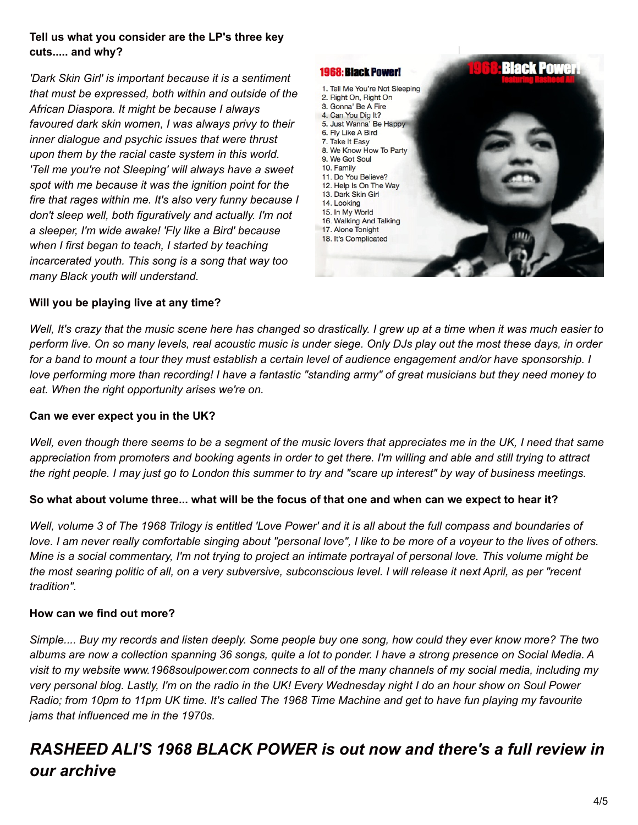### **Tell us what you consider are the LP's three key cuts..... and why?**

*'Dark Skin Girl' is important because it is a sentiment that must be expressed, both within and outside of the African Diaspora. It might be because I always favoured dark skin women, I was always privy to their inner dialogue and psychic issues that were thrust upon them by the racial caste system in this world. 'Tell me you're not Sleeping' will always have a sweet spot with me because it was the ignition point for the fire that rages within me. It's also very funny because I don't sleep well, both figuratively and actually. I'm not a sleeper, I'm wide awake! 'Fly like a Bird' because when I first began to teach, I started by teaching incarcerated youth. This song is a song that way too many Black youth will understand.*



#### **Will you be playing live at any time?**

Well, It's crazy that the music scene here has changed so drastically. I grew up at a time when it was much easier to perform live. On so many levels, real acoustic music is under siege. Only DJs play out the most these days, in order for a band to mount a tour they must establish a certain level of audience engagement and/or have sponsorship. I love performing more than recording! I have a fantastic "standing army" of great musicians but they need money to *eat. When the right opportunity arises we're on.*

#### **Can we ever expect you in the UK?**

Well, even though there seems to be a segment of the music lovers that appreciates me in the UK, I need that same appreciation from promoters and booking agents in order to get there. I'm willing and able and still trying to attract the right people. I may just go to London this summer to try and "scare up interest" by way of business meetings.

#### So what about volume three... what will be the focus of that one and when can we expect to hear it?

Well, volume 3 of The 1968 Trilogy is entitled 'Love Power' and it is all about the full compass and boundaries of love. I am never really comfortable singing about "personal love", I like to be more of a voyeur to the lives of others. Mine is a social commentary, I'm not trying to project an intimate portrayal of personal love. This volume might be the most searing politic of all, on a very subversive, subconscious level. I will release it next April, as per "recent *tradition".*

#### **How can we find out more?**

Simple.... Buy my records and listen deeply. Some people buy one song, how could they ever know more? The two albums are now a collection spanning 36 songs, quite a lot to ponder. I have a strong presence on Social Media. A visit to my website www.1968soulpower.com connects to all of the many channels of my social media, including my very personal blog. Lastly, I'm on the radio in the UK! Every Wednesday night I do an hour show on Soul Power Radio; from 10pm to 11pm UK time. It's called The 1968 Time Machine and get to have fun playing my favourite *jams that influenced me in the 1970s.*

# *RASHEED ALI'S 1968 BLACK POWER is out now and there's a full review in our archive*